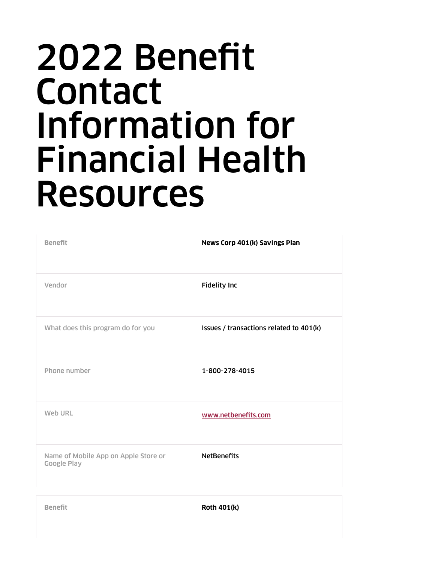## 2022 Benefit Contact Information for Financial Health Resources

| <b>Benefit</b>                                             | News Corp 401(k) Savings Plan           |
|------------------------------------------------------------|-----------------------------------------|
| Vendor                                                     | <b>Fidelity Inc</b>                     |
| What does this program do for you                          | Issues / transactions related to 401(k) |
| Phone number                                               | 1-800-278-4015                          |
| Web URL                                                    | www.netbenefits.com                     |
| Name of Mobile App on Apple Store or<br><b>Google Play</b> | <b>NetBenefits</b>                      |

**Benefit Roth 401(k)**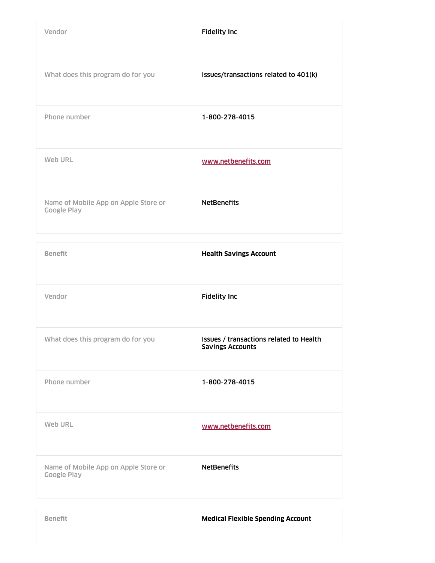| Vendor                                                     | <b>Fidelity Inc</b>                   |
|------------------------------------------------------------|---------------------------------------|
| What does this program do for you                          | Issues/transactions related to 401(k) |
| Phone number                                               | 1-800-278-4015                        |
| Web URL                                                    | www.netbenefits.com                   |
| Name of Mobile App on Apple Store or<br><b>Google Play</b> | <b>NetBenefits</b>                    |

| <b>Benefit</b>                                             | <b>Health Savings Account</b>                                      |
|------------------------------------------------------------|--------------------------------------------------------------------|
| Vendor                                                     | <b>Fidelity Inc</b>                                                |
| What does this program do for you                          | Issues / transactions related to Health<br><b>Savings Accounts</b> |
| Phone number                                               | 1-800-278-4015                                                     |
| Web URL                                                    | www.netbenefits.com                                                |
| Name of Mobile App on Apple Store or<br><b>Google Play</b> | <b>NetBenefits</b>                                                 |
|                                                            |                                                                    |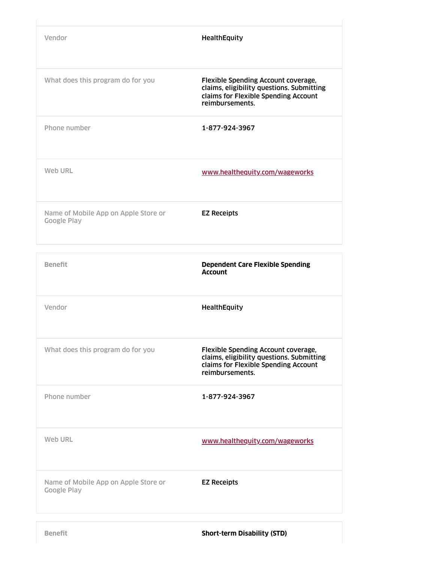| Vendor                                                     | HealthEquity                                                                                                                                |
|------------------------------------------------------------|---------------------------------------------------------------------------------------------------------------------------------------------|
| What does this program do for you                          | Flexible Spending Account coverage,<br>claims, eligibility questions. Submitting<br>claims for Flexible Spending Account<br>reimbursements. |
| Phone number                                               | 1-877-924-3967                                                                                                                              |
| Web URL                                                    | www.healthequity.com/wageworks                                                                                                              |
| Name of Mobile App on Apple Store or<br><b>Google Play</b> | <b>EZ Receipts</b>                                                                                                                          |

| <b>Benefit</b>                                             | <b>Dependent Care Flexible Spending</b><br><b>Account</b>                                                                                   |
|------------------------------------------------------------|---------------------------------------------------------------------------------------------------------------------------------------------|
| Vendor                                                     | <b>HealthEquity</b>                                                                                                                         |
| What does this program do for you                          | Flexible Spending Account coverage,<br>claims, eligibility questions. Submitting<br>claims for Flexible Spending Account<br>reimbursements. |
| Phone number                                               | 1-877-924-3967                                                                                                                              |
| Web URL                                                    | www.healthequity.com/wageworks                                                                                                              |
| Name of Mobile App on Apple Store or<br><b>Google Play</b> | <b>EZ Receipts</b>                                                                                                                          |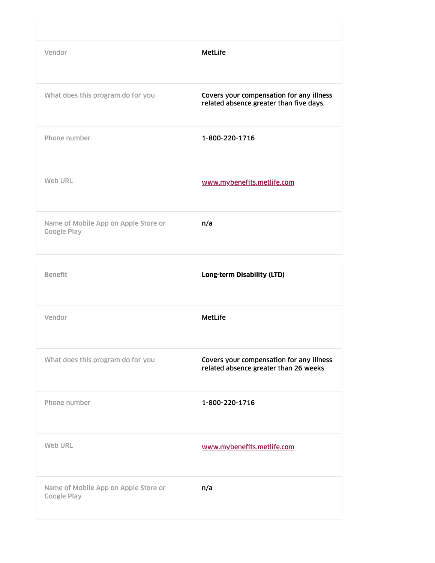| Vendor                                                     | MetLife                                                                             |
|------------------------------------------------------------|-------------------------------------------------------------------------------------|
| What does this program do for you                          | Covers your compensation for any illness<br>related absence greater than five days. |
| Phone number                                               | 1-800-220-1716                                                                      |
| Web URL                                                    | www.mybenefits.metlife.com                                                          |
| Name of Mobile App on Apple Store or<br><b>Google Play</b> | n/a                                                                                 |

| <b>Benefit</b>                                             | Long-term Disability (LTD)                                                        |
|------------------------------------------------------------|-----------------------------------------------------------------------------------|
| Vendor                                                     | <b>MetLife</b>                                                                    |
| What does this program do for you                          | Covers your compensation for any illness<br>related absence greater than 26 weeks |
| Phone number                                               | 1-800-220-1716                                                                    |
| Web URL                                                    | www.mybenefits.metlife.com                                                        |
| Name of Mobile App on Apple Store or<br><b>Google Play</b> | n/a                                                                               |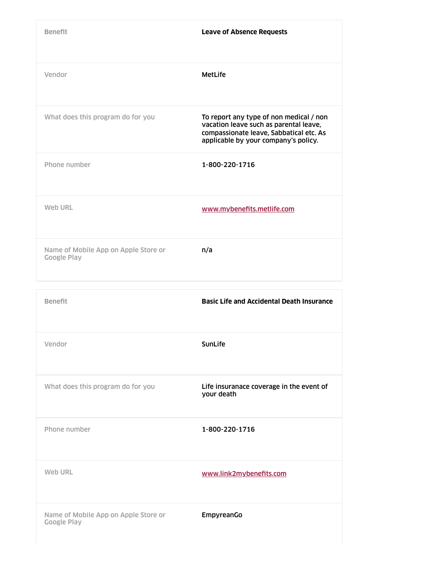| <b>Benefit</b>                                             | <b>Leave of Absence Requests</b>                                                                                                                                     |
|------------------------------------------------------------|----------------------------------------------------------------------------------------------------------------------------------------------------------------------|
| Vendor                                                     | <b>MetLife</b>                                                                                                                                                       |
| What does this program do for you                          | To report any type of non medical / non<br>vacation leave such as parental leave,<br>compassionate leave, Sabbatical etc. As<br>applicable by your company's policy. |
| Phone number                                               | 1-800-220-1716                                                                                                                                                       |
| Web URL                                                    | www.mybenefits.metlife.com                                                                                                                                           |
| Name of Mobile App on Apple Store or<br><b>Google Play</b> | n/a                                                                                                                                                                  |
| <b>Benefit</b>                                             | <b>Basic Life and Accidental Death Insurance</b>                                                                                                                     |
| Vendor                                                     | SunLife                                                                                                                                                              |
| What does this program do for you                          | Life insuranace coverage in the event of<br>your death                                                                                                               |
| Phone number                                               | 1-800-220-1716                                                                                                                                                       |
| Web URL                                                    | www.link2mybenefits.com                                                                                                                                              |
| Name of Mobile App on Apple Store or<br><b>Google Play</b> | EmpyreanGo                                                                                                                                                           |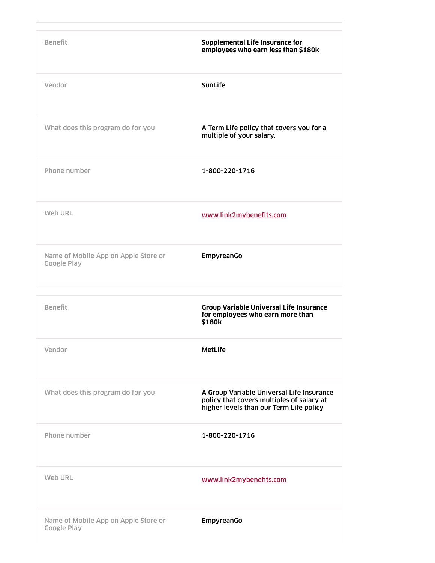| <b>Benefit</b>                                             | <b>Supplemental Life Insurance for</b><br>employees who earn less than \$180k                                                     |
|------------------------------------------------------------|-----------------------------------------------------------------------------------------------------------------------------------|
| Vendor                                                     | SunLife                                                                                                                           |
| What does this program do for you                          | A Term Life policy that covers you for a<br>multiple of your salary.                                                              |
| Phone number                                               | 1-800-220-1716                                                                                                                    |
| Web URL                                                    | www.link2mybenefits.com                                                                                                           |
| Name of Mobile App on Apple Store or<br><b>Google Play</b> | EmpyreanGo                                                                                                                        |
|                                                            |                                                                                                                                   |
|                                                            |                                                                                                                                   |
| <b>Benefit</b>                                             | <b>Group Variable Universal Life Insurance</b><br>for employees who earn more than<br>\$180k                                      |
| Vendor                                                     | <b>MetLife</b>                                                                                                                    |
| What does this program do for you                          | A Group Variable Universal Life Insurance<br>policy that covers multiples of salary at<br>higher levels than our Term Life policy |
| Phone number                                               | 1-800-220-1716                                                                                                                    |
| Web URL                                                    | www.link2mybenefits.com                                                                                                           |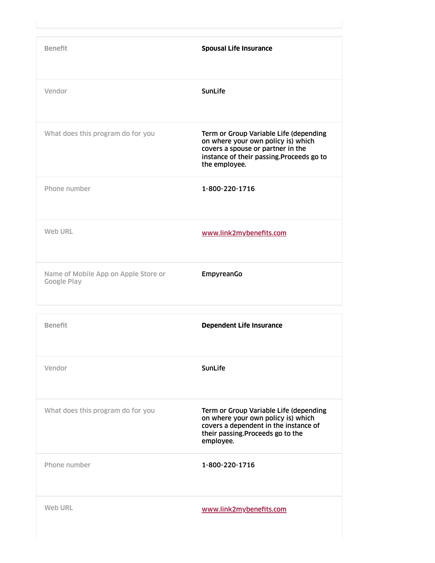| <b>Benefit</b>                                             | <b>Spousal Life Insurance</b>                                                                                                                                                   |
|------------------------------------------------------------|---------------------------------------------------------------------------------------------------------------------------------------------------------------------------------|
| Vendor                                                     | SunLife                                                                                                                                                                         |
| What does this program do for you                          | Term or Group Variable Life (depending<br>on where your own policy is) which<br>covers a spouse or partner in the<br>instance of their passing. Proceeds go to<br>the employee. |
| Phone number                                               | 1-800-220-1716                                                                                                                                                                  |
| Web URL                                                    | www.link2mybenefits.com                                                                                                                                                         |
| Name of Mobile App on Apple Store or<br><b>Google Play</b> | EmpyreanGo                                                                                                                                                                      |
| <b>Benefit</b>                                             | <b>Dependent Life Insurance</b>                                                                                                                                                 |
| Vendor                                                     | SunLife                                                                                                                                                                         |
| What does this program do for you                          | Term or Group Variable Life (depending<br>on where your own policy is) which<br>covers a dependent in the instance of<br>their passing. Proceeds go to the<br>employee.         |
| Phone number                                               | 1-800-220-1716                                                                                                                                                                  |
| Web URL                                                    | www.link2mybenefits.com                                                                                                                                                         |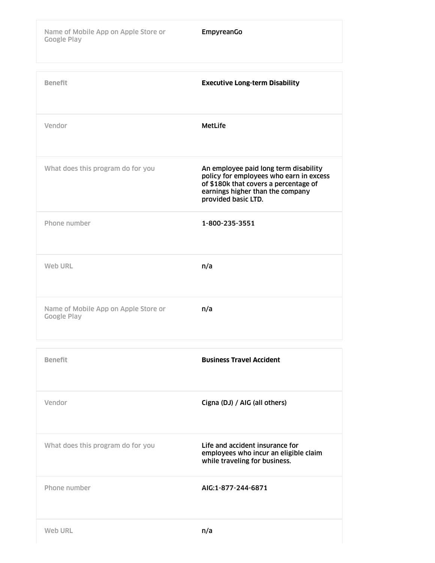| <b>Benefit</b>                                             | <b>Executive Long-term Disability</b>                                                                                                                                                |
|------------------------------------------------------------|--------------------------------------------------------------------------------------------------------------------------------------------------------------------------------------|
| Vendor                                                     | <b>MetLife</b>                                                                                                                                                                       |
| What does this program do for you                          | An employee paid long term disability<br>policy for employees who earn in excess<br>of \$180k that covers a percentage of<br>earnings higher than the company<br>provided basic LTD. |
| Phone number                                               | 1-800-235-3551                                                                                                                                                                       |
| Web URL                                                    | n/a                                                                                                                                                                                  |
| Name of Mobile App on Apple Store or<br><b>Google Play</b> | n/a                                                                                                                                                                                  |
| <b>Benefit</b>                                             | <b>Business Travel Accident</b>                                                                                                                                                      |
|                                                            |                                                                                                                                                                                      |

| Vendor                            | Cigna (DJ) / AIG (all others)                                                                             |
|-----------------------------------|-----------------------------------------------------------------------------------------------------------|
| What does this program do for you | Life and accident insurance for<br>employees who incur an eligible claim<br>while traveling for business. |
| Phone number                      | AIG:1-877-244-6871                                                                                        |
| <b>Web URL</b>                    | n/a                                                                                                       |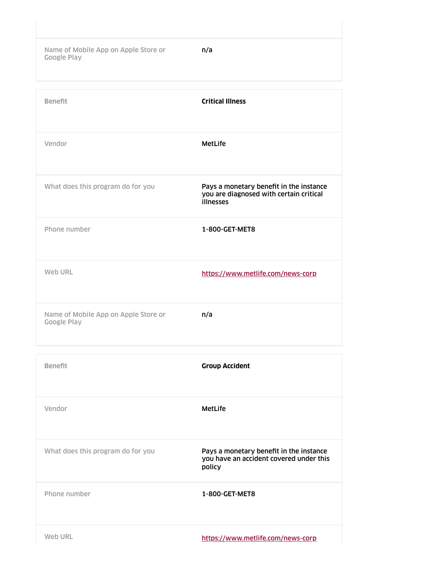Name of Mobile App on Apple Store or **n/a** Google Play

| <b>Benefit</b>                                             | <b>Critical Illness</b>                                                                         |
|------------------------------------------------------------|-------------------------------------------------------------------------------------------------|
| Vendor                                                     | <b>MetLife</b>                                                                                  |
| What does this program do for you                          | Pays a monetary benefit in the instance<br>you are diagnosed with certain critical<br>illnesses |
| Phone number                                               | 1-800-GET-MET8                                                                                  |
| Web URL                                                    | https://www.metlife.com/news-corp                                                               |
| Name of Mobile App on Apple Store or<br><b>Google Play</b> | n/a                                                                                             |

| <b>Benefit</b>                    | <b>Group Accident</b>                                                                        |
|-----------------------------------|----------------------------------------------------------------------------------------------|
| Vendor                            | MetLife                                                                                      |
| What does this program do for you | Pays a monetary benefit in the instance<br>you have an accident covered under this<br>policy |
| Phone number                      | 1-800-GET-MET8                                                                               |
| Web URL                           | https://www.metlife.com/news-corp                                                            |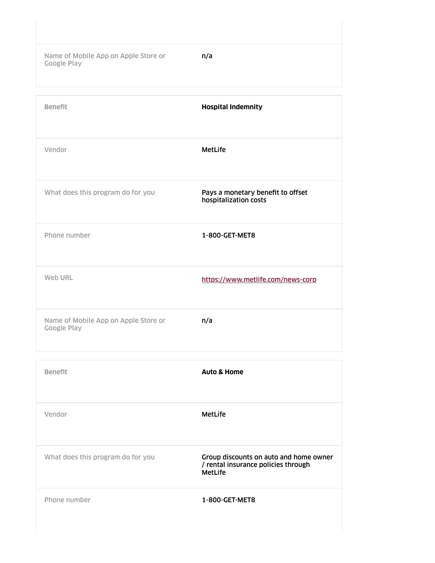Name of Mobile App on Apple Store or **n/a** Google Play

| <b>Benefit</b>                                             | <b>Hospital Indemnity</b>                                  |
|------------------------------------------------------------|------------------------------------------------------------|
| Vendor                                                     | <b>MetLife</b>                                             |
| What does this program do for you                          | Pays a monetary benefit to offset<br>hospitalization costs |
| Phone number                                               | 1-800-GET-MET8                                             |
| Web URL                                                    | https://www.metlife.com/news-corp                          |
| Name of Mobile App on Apple Store or<br><b>Google Play</b> | n/a                                                        |

| <b>Benefit</b>                    | <b>Auto &amp; Home</b>                                                                          |
|-----------------------------------|-------------------------------------------------------------------------------------------------|
| Vendor                            | <b>MetLife</b>                                                                                  |
| What does this program do for you | Group discounts on auto and home owner<br>/ rental insurance policies through<br><b>MetLife</b> |
| Phone number                      | 1-800-GET-MET8                                                                                  |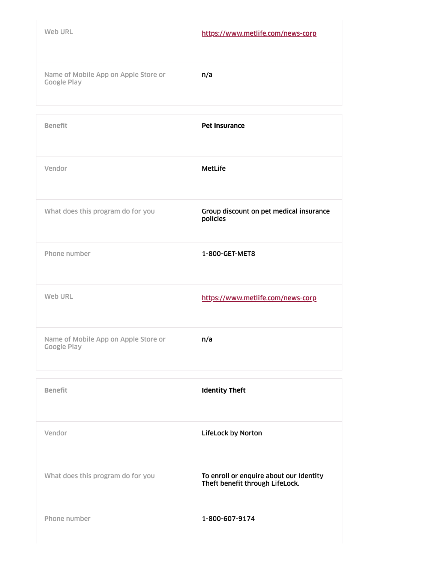| Web URL                                                    | https://www.metlife.com/news-corp |
|------------------------------------------------------------|-----------------------------------|
| Name of Mobile App on Apple Store or<br><b>Google Play</b> | n/a                               |
|                                                            |                                   |
| <b>Benefit</b>                                             | <b>Pet Insurance</b>              |

| Vendor                                              | MetLife                                             |
|-----------------------------------------------------|-----------------------------------------------------|
| What does this program do for you                   | Group discount on pet medical insurance<br>policies |
| Phone number                                        | 1-800-GET-MET8                                      |
| Web URL                                             | https://www.metlife.com/news-corp                   |
| Name of Mobile App on Apple Store or<br>Google Play | n/a                                                 |

| <b>Benefit</b>                    | <b>Identity Theft</b>                                                      |
|-----------------------------------|----------------------------------------------------------------------------|
| Vendor                            | <b>LifeLock by Norton</b>                                                  |
| What does this program do for you | To enroll or enquire about our Identity<br>Theft benefit through LifeLock. |
| Phone number                      | 1-800-607-9174                                                             |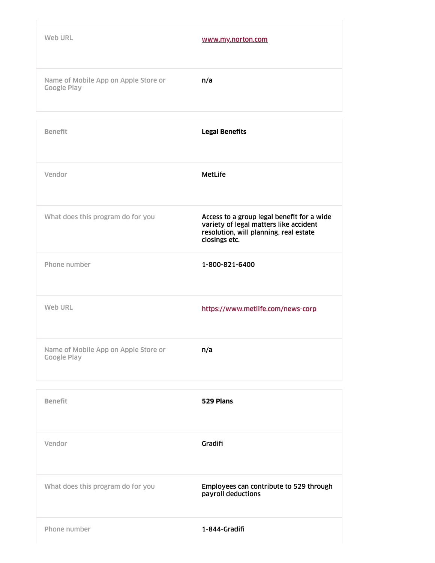| Web URL                                                    | www.my.norton.com                                                                                                                               |
|------------------------------------------------------------|-------------------------------------------------------------------------------------------------------------------------------------------------|
| Name of Mobile App on Apple Store or<br><b>Google Play</b> | n/a                                                                                                                                             |
| <b>Benefit</b>                                             | <b>Legal Benefits</b>                                                                                                                           |
| Vendor                                                     | <b>MetLife</b>                                                                                                                                  |
| What does this program do for you                          | Access to a group legal benefit for a wide<br>variety of legal matters like accident<br>resolution, will planning, real estate<br>closings etc. |
| Phone number                                               | 1-800-821-6400                                                                                                                                  |
| Web URL                                                    | https://www.metlife.com/news-corp                                                                                                               |
| Name of Mobile App on Apple Store or<br><b>Google Play</b> | n/a                                                                                                                                             |

| <b>Benefit</b>                    | 529 Plans                                                     |
|-----------------------------------|---------------------------------------------------------------|
| Vendor                            | Gradifi                                                       |
| What does this program do for you | Employees can contribute to 529 through<br>payroll deductions |
| Phone number                      | 1-844-Gradifi                                                 |